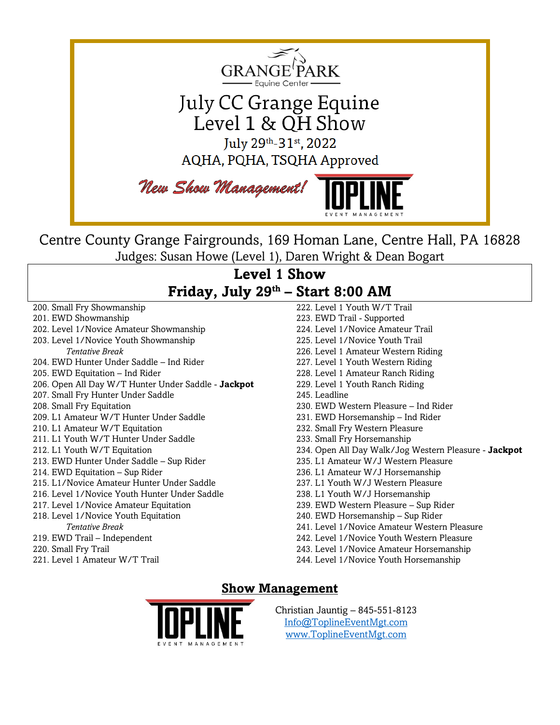

Centre County Grange Fairgrounds, 169 Homan Lane, Centre Hall, PA 16828 Judges: Susan Howe (Level 1), Daren Wright & Dean Bogart

## **Level 1 Show Friday, July 29th – Start 8:00 AM**

- 200. Small Fry Showmanship
- 201. EWD Showmanship
- 202. Level 1/Novice Amateur Showmanship 203. Level 1/Novice Youth Showmanship
	- *Tentative Break*
- 204. EWD Hunter Under Saddle Ind Rider
- 205. EWD Equitation Ind Rider
- 206. Open All Day W/T Hunter Under Saddle **Jackpot**
- 207. Small Fry Hunter Under Saddle
- 208. Small Fry Equitation
- 209. L1 Amateur W/T Hunter Under Saddle
- 210. L1 Amateur W/T Equitation
- 211. L1 Youth W/T Hunter Under Saddle
- 212. L1 Youth W/T Equitation
- 213. EWD Hunter Under Saddle Sup Rider
- 214. EWD Equitation Sup Rider
- 215. L1/Novice Amateur Hunter Under Saddle
- 216. Level 1/Novice Youth Hunter Under Saddle
- 217. Level 1/Novice Amateur Equitation
- 218. Level 1/Novice Youth Equitation *Tentative Break*
- 219. EWD Trail Independent
- 220. Small Fry Trail
- 221. Level 1 Amateur W/T Trail

222. Level 1 Youth W/T Trail 223. EWD Trail - Supported 224. Level 1/Novice Amateur Trail 225. Level 1/Novice Youth Trail 226. Level 1 Amateur Western Riding 227. Level 1 Youth Western Riding 228. Level 1 Amateur Ranch Riding 229. Level 1 Youth Ranch Riding 245. Leadline 230. EWD Western Pleasure – Ind Rider 231. EWD Horsemanship – Ind Rider 232. Small Fry Western Pleasure 233. Small Fry Horsemanship 234. Open All Day Walk/Jog Western Pleasure - **Jackpot** 235. L1 Amateur W/J Western Pleasure 236. L1 Amateur W/J Horsemanship 237. L1 Youth W/J Western Pleasure 238. L1 Youth W/J Horsemanship 239. EWD Western Pleasure – Sup Rider 240. EWD Horsemanship – Sup Rider 241. Level 1/Novice Amateur Western Pleasure 242. Level 1/Novice Youth Western Pleasure 243. Level 1/Novice Amateur Horsemanship 244. Level 1/Novice Youth Horsemanship

### **Show Management**



Christian Jauntig – 845-551-8123 [Info@ToplineEventMgt.com](mailto:Info@ToplineEventMgt.com) [www.ToplineEventMgt.com](http://www.toplineeventmgt.com/)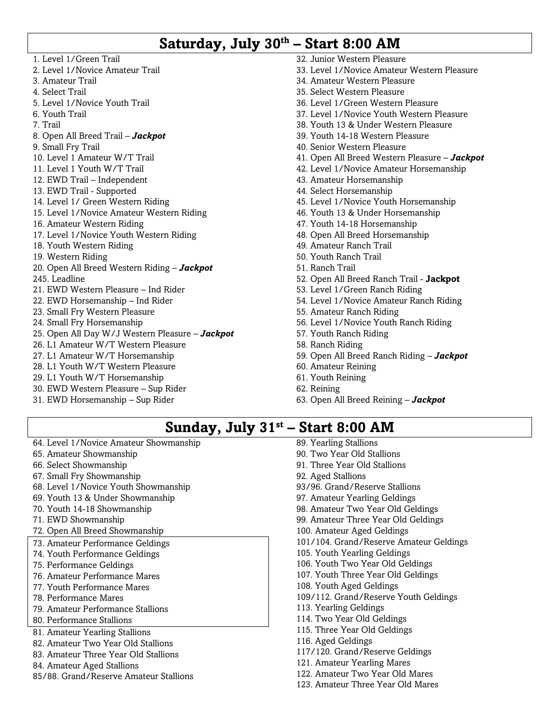# **Saturday, July 30th – Start 8:00 AM**

- 1. Level 1/Green Trail 2. Level 1/Novice Amateur Trail 3. Amateur Trail 4. Select Trail 5. Level 1/Novice Youth Trail 6. Youth Trail 7. Trail 8. Open All Breed Trail – *Jackpot* 9. Small Fry Trail 10. Level 1 Amateur W/T Trail 11. Level 1 Youth W/T Trail 12. EWD Trail – Independent 13. EWD Trail - Supported 14. Level 1/ Green Western Riding 15. Level 1/Novice Amateur Western Riding 16. Amateur Western Riding 17. Level 1/Novice Youth Western Riding 18. Youth Western Riding 19. Western Riding 20. Open All Breed Western Riding – *Jackpot* 245. Leadline 21. EWD Western Pleasure – Ind Rider 22. EWD Horsemanship – Ind Rider 23. Small Fry Western Pleasure 24. Small Fry Horsemanship 25. Open All Day W/J Western Pleasure – *Jackpot* 26. L1 Amateur W/T Western Pleasure 27. L1 Amateur W/T Horsemanship 28. L1 Youth W/T Western Pleasure 29. L1 Youth W/T Horsemanship 30. EWD Western Pleasure – Sup Rider 31. EWD Horsemanship – Sup Rider 32. Junior Western Pleasure 33. Level 1/Novice Amateur Western Pleasure 34. Amateur Western Pleasure 35. Select Western Pleasure 36. Level 1/Green Western Pleasure 37. Level 1/Novice Youth Western Pleasure 38. Youth 13 & Under Western Pleasure 39. Youth 14-18 Western Pleasure 40. Senior Western Pleasure 41. Open All Breed Western Pleasure – *Jackpot* 42. Level 1/Novice Amateur Horsemanship 43. Amateur Horsemanship 44. Select Horsemanship 45. Level 1/Novice Youth Horsemanship 46. Youth 13 & Under Horsemanship 47. Youth 14-18 Horsemanship 48. Open All Breed Horsemanship 49. Amateur Ranch Trail 50. Youth Ranch Trail 51. Ranch Trail 52. Open All Breed Ranch Trail - **Jackpot** 53. Level 1/Green Ranch Riding 54. Level 1/Novice Amateur Ranch Riding 55. Amateur Ranch Riding 56. Level 1/Novice Youth Ranch Riding 57. Youth Ranch Riding 58. Ranch Riding 59. Open All Breed Ranch Riding – *Jackpot* 60. Amateur Reining 61. Youth Reining 62. Reining 63. Open All Breed Reining – *Jackpot*
	- 89. Yearling Stallions 90. Two Year Old Stallions 91. Three Year Old Stallions 92. Aged Stallions 93/96. Grand/Reserve Stallions 97. Amateur Yearling Geldings 98. Amateur Two Year Old Geldings

**Sunday, July 31st – Start 8:00 AM**

- 99. Amateur Three Year Old Geldings
- 100. Amateur Aged Geldings
- 101/104. Grand/Reserve Amateur Geldings
- 105. Youth Yearling Geldings
- 106. Youth Two Year Old Geldings
- 107. Youth Three Year Old Geldings
- 108. Youth Aged Geldings
- 109/112. Grand/Reserve Youth Geldings
- 113. Yearling Geldings
- 114. Two Year Old Geldings
- 115. Three Year Old Geldings
- 116. Aged Geldings
- 117/120. Grand/Reserve Geldings
- 121. Amateur Yearling Mares
- 122. Amateur Two Year Old Mares
- 123. Amateur Three Year Old Mares

65. Amateur Showmanship 66. Select Showmanship 67. Small Fry Showmanship

64. Level 1/Novice Amateur Showmanship

68. Level 1/Novice Youth Showmanship 69. Youth 13 & Under Showmanship 70. Youth 14-18 Showmanship 71. EWD Showmanship

72. Open All Breed Showmanship 73. Amateur Performance Geldings 74. Youth Performance Geldings 75. Performance Geldings 76. Amateur Performance Mares 77. Youth Performance Mares 78. Performance Mares

79. Amateur Performance Stallions

85/88. Grand/Reserve Amateur Stallions

80. Performance Stallions 81. Amateur Yearling Stallions 82. Amateur Two Year Old Stallions 83. Amateur Three Year Old Stallions

84. Amateur Aged Stallions